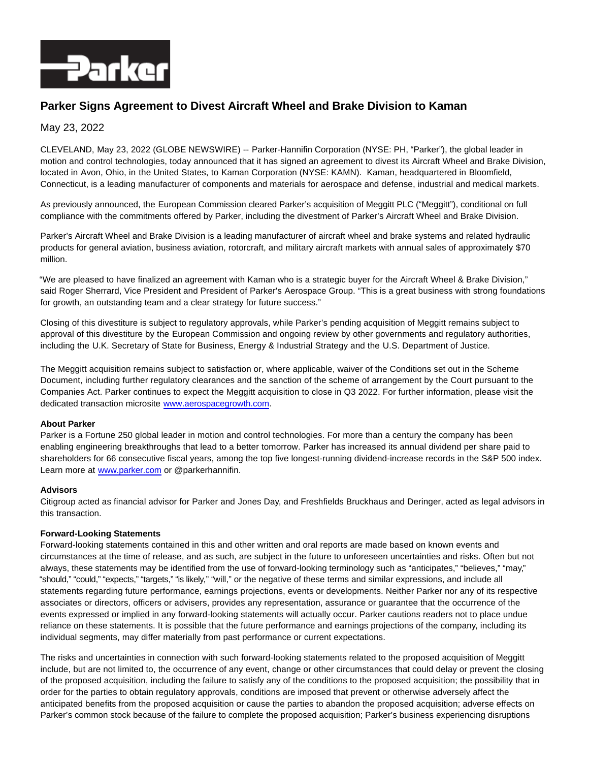

# **Parker Signs Agreement to Divest Aircraft Wheel and Brake Division to Kaman**

## May 23, 2022

CLEVELAND, May 23, 2022 (GLOBE NEWSWIRE) -- Parker-Hannifin Corporation (NYSE: PH, "Parker"), the global leader in motion and control technologies, today announced that it has signed an agreement to divest its Aircraft Wheel and Brake Division, located in Avon, Ohio, in the United States, to Kaman Corporation (NYSE: KAMN). Kaman, headquartered in Bloomfield, Connecticut, is a leading manufacturer of components and materials for aerospace and defense, industrial and medical markets.

As previously announced, the European Commission cleared Parker's acquisition of Meggitt PLC ("Meggitt"), conditional on full compliance with the commitments offered by Parker, including the divestment of Parker's Aircraft Wheel and Brake Division.

Parker's Aircraft Wheel and Brake Division is a leading manufacturer of aircraft wheel and brake systems and related hydraulic products for general aviation, business aviation, rotorcraft, and military aircraft markets with annual sales of approximately \$70 million.

"We are pleased to have finalized an agreement with Kaman who is a strategic buyer for the Aircraft Wheel & Brake Division," said Roger Sherrard, Vice President and President of Parker's Aerospace Group. "This is a great business with strong foundations for growth, an outstanding team and a clear strategy for future success."

Closing of this divestiture is subject to regulatory approvals, while Parker's pending acquisition of Meggitt remains subject to approval of this divestiture by the European Commission and ongoing review by other governments and regulatory authorities, including the U.K. Secretary of State for Business, Energy & Industrial Strategy and the U.S. Department of Justice.

The Meggitt acquisition remains subject to satisfaction or, where applicable, waiver of the Conditions set out in the Scheme Document, including further regulatory clearances and the sanction of the scheme of arrangement by the Court pursuant to the Companies Act. Parker continues to expect the Meggitt acquisition to close in Q3 2022. For further information, please visit the dedicated transaction microsite [www.aerospacegrowth.com.](http://www.aerospacegrowth.com/)

## **About Parker**

Parker is a Fortune 250 global leader in motion and control technologies. For more than a century the company has been enabling engineering breakthroughs that lead to a better tomorrow. Parker has increased its annual dividend per share paid to shareholders for 66 consecutive fiscal years, among the top five longest-running dividend-increase records in the S&P 500 index. Learn more at [www.parker.com o](http://www.parker.com/)r @parkerhannifin.

### **Advisors**

Citigroup acted as financial advisor for Parker and Jones Day, and Freshfields Bruckhaus and Deringer, acted as legal advisors in this transaction.

### **Forward-Looking Statements**

Forward-looking statements contained in this and other written and oral reports are made based on known events and circumstances at the time of release, and as such, are subject in the future to unforeseen uncertainties and risks. Often but not always, these statements may be identified from the use of forward-looking terminology such as "anticipates," "believes," "may," "should," "could," "expects," "targets," "is likely," "will," or the negative of these terms and similar expressions, and include all statements regarding future performance, earnings projections, events or developments. Neither Parker nor any of its respective associates or directors, officers or advisers, provides any representation, assurance or guarantee that the occurrence of the events expressed or implied in any forward-looking statements will actually occur. Parker cautions readers not to place undue reliance on these statements. It is possible that the future performance and earnings projections of the company, including its individual segments, may differ materially from past performance or current expectations.

The risks and uncertainties in connection with such forward-looking statements related to the proposed acquisition of Meggitt include, but are not limited to, the occurrence of any event, change or other circumstances that could delay or prevent the closing of the proposed acquisition, including the failure to satisfy any of the conditions to the proposed acquisition; the possibility that in order for the parties to obtain regulatory approvals, conditions are imposed that prevent or otherwise adversely affect the anticipated benefits from the proposed acquisition or cause the parties to abandon the proposed acquisition; adverse effects on Parker's common stock because of the failure to complete the proposed acquisition; Parker's business experiencing disruptions